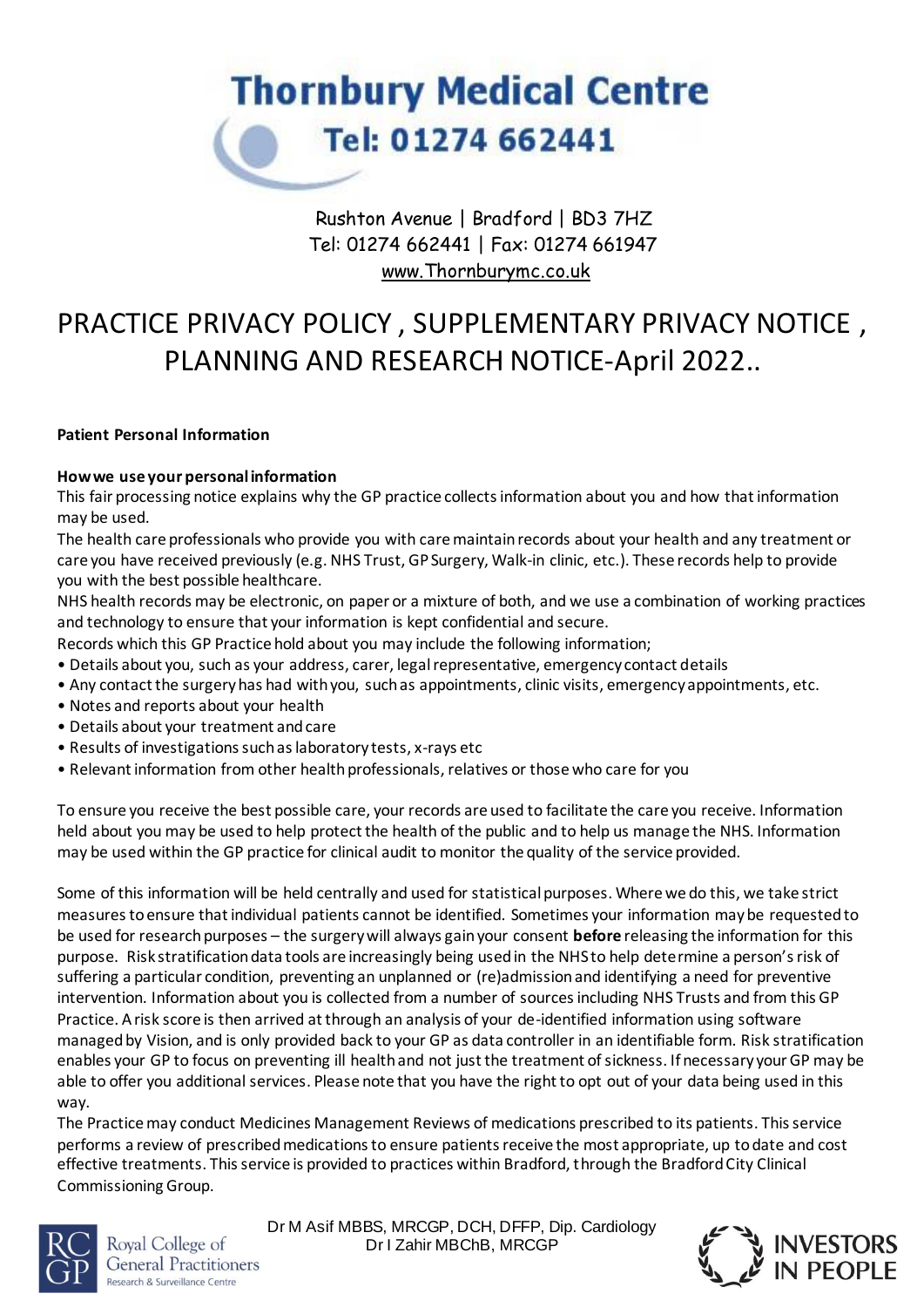

# Rushton Avenue | Bradford | BD3 7HZ Tel: 01274 662441 | Fax: 01274 661947 [www.Thornburymc.co.uk](http://www.thornburymc.co.uk/)

# PRACTICE PRIVACY POLICY , SUPPLEMENTARY PRIVACY NOTICE , PLANNING AND RESEARCH NOTICE-April 2022..

#### **Patient Personal Information**

#### **How we use your personal information**

This fair processing notice explains why the GP practice collects information about you and how that information may be used.

The health care professionals who provide you with care maintain records about your health and any treatment or care you have received previously (e.g. NHS Trust, GP Surgery, Walk-in clinic, etc.). These records help to provide you with the best possible healthcare.

NHS health records may be electronic, on paper or a mixture of both, and we use a combination of working practices and technology to ensure that your information is kept confidential and secure.

- Records which this GP Practice hold about you may include the following information;
- Details about you, such as your address, carer, legal representative, emergency contact details
- Any contact the surgery has had with you, such as appointments, clinic visits, emergency appointments, etc.
- Notes and reports about your health
- Details about your treatment and care
- Results of investigations such as laboratory tests, x-rays etc
- Relevant information from other health professionals, relatives or those who care for you

To ensure you receive the best possible care, your records are used to facilitate the care you receive. Information held about you may be used to help protect the health of the public and to help us manage the NHS. Information may be used within the GP practice for clinical audit to monitor the quality of the service provided.

Some of this information will be held centrally and used for statistical purposes. Where we do this, we take strict measures to ensure that individual patients cannot be identified. Sometimes your information may be requested to be used for research purposes – the surgery will always gain your consent **before** releasing the information for this purpose. Risk stratification data tools are increasingly being used in the NHS to help determine a person's risk of suffering a particular condition, preventing an unplanned or (re)admission and identifying a need for preventive intervention. Information about you is collected from a number of sources including NHS Trusts and from this GP Practice. A risk score is then arrived at through an analysis of your de-identified information using software managed by Vision, and is only provided back to your GP as data controller in an identifiable form. Risk stratification enables your GP to focus on preventing ill health and not just the treatment of sickness. If necessary your GP may be able to offer you additional services. Please note that you have the right to opt out of your data being used in this way.

The Practice may conduct Medicines Management Reviews of medications prescribed to its patients. This service performs a review of prescribed medications to ensure patients receive the most appropriate, up to date and cost effective treatments. This service is provided to practices within Bradford, through the Bradford City Clinical Commissioning Group.



Royal College of **General Practitioners** Research & Surveillance Centre

Dr M Asif MBBS, MRCGP, DCH, DFFP, Dip. Cardiology Dr I Zahir MBChB, MRCGP

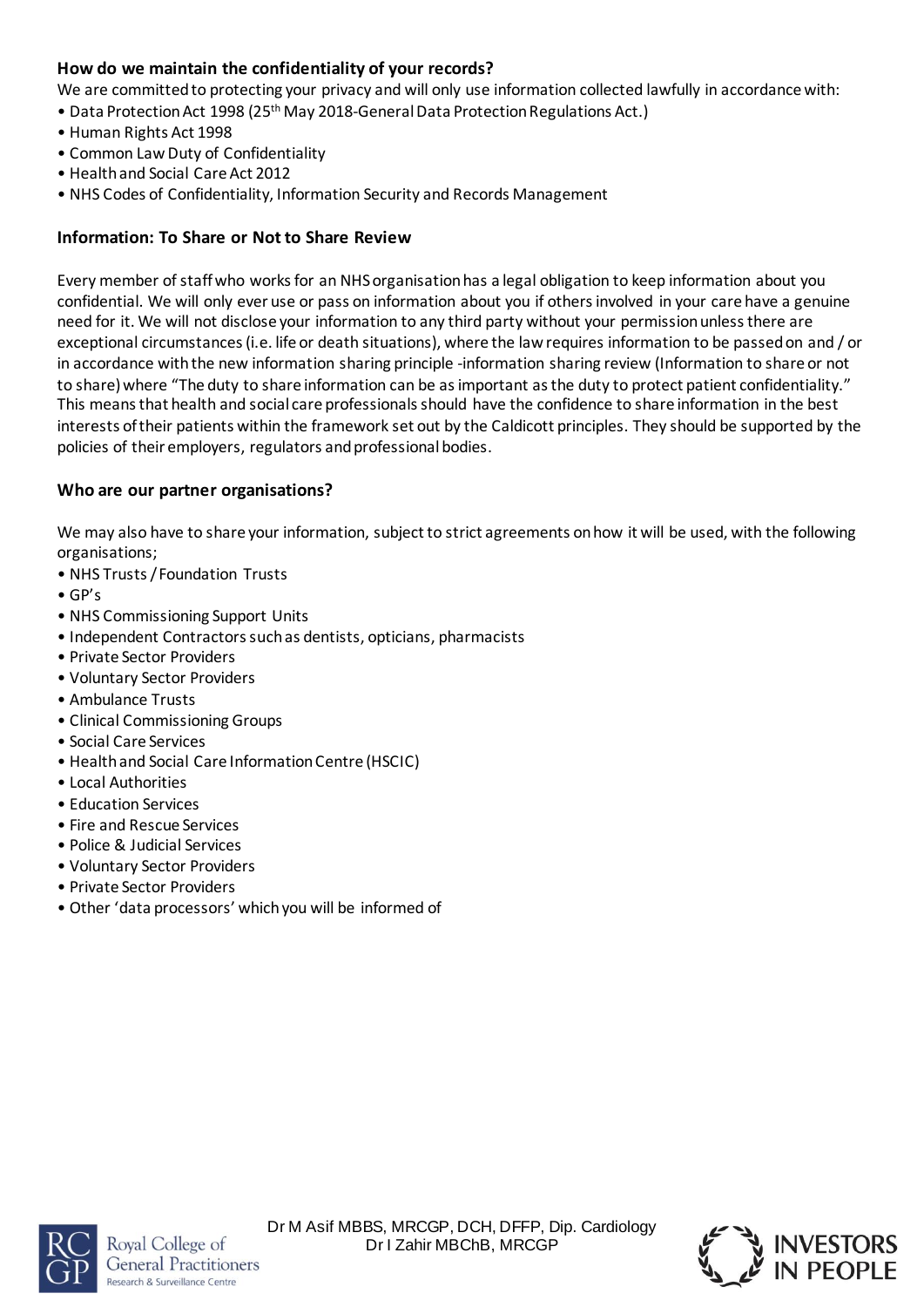## **How do we maintain the confidentiality of your records?**

We are committed to protecting your privacy and will only use information collected lawfully in accordance with:

- Data Protection Act 1998 (25<sup>th</sup> May 2018-General Data Protection Regulations Act.)
- Human Rights Act 1998
- Common Law Duty of Confidentiality
- Health and Social Care Act 2012
- NHS Codes of Confidentiality, Information Security and Records Management

## **Information: To Share or Not to Share Review**

Every member of staff who works for an NHS organisation has a legal obligation to keep information about you confidential. We will only ever use or pass on information about you if others involved in your care have a genuine need for it. We will not disclose your information to any third party without your permission unless there are exceptional circumstances (i.e. life or death situations), where the law requires information to be passed on and / or in accordance with the new information sharing principle -information sharing review (Information to share or not to share) where "The duty to share information can be as important as the duty to protect patient confidentiality." This means that health and social care professionals should have the confidence to share information in the best interests of their patients within the framework set out by the Caldicott principles. They should be supported by the policies of their employers, regulators and professional bodies.

### **Who are our partner organisations?**

We may also have to share your information, subject to strict agreements on how it will be used, with the following organisations;

- NHS Trusts / Foundation Trusts
- GP's
- NHS Commissioning Support Units
- Independent Contractors such as dentists, opticians, pharmacists
- Private Sector Providers
- Voluntary Sector Providers
- Ambulance Trusts
- Clinical Commissioning Groups
- Social Care Services
- Health and Social Care Information Centre (HSCIC)
- Local Authorities
- Education Services
- Fire and Rescue Services
- Police & Judicial Services
- Voluntary Sector Providers
- Private Sector Providers
- Other 'data processors' which you will be informed of



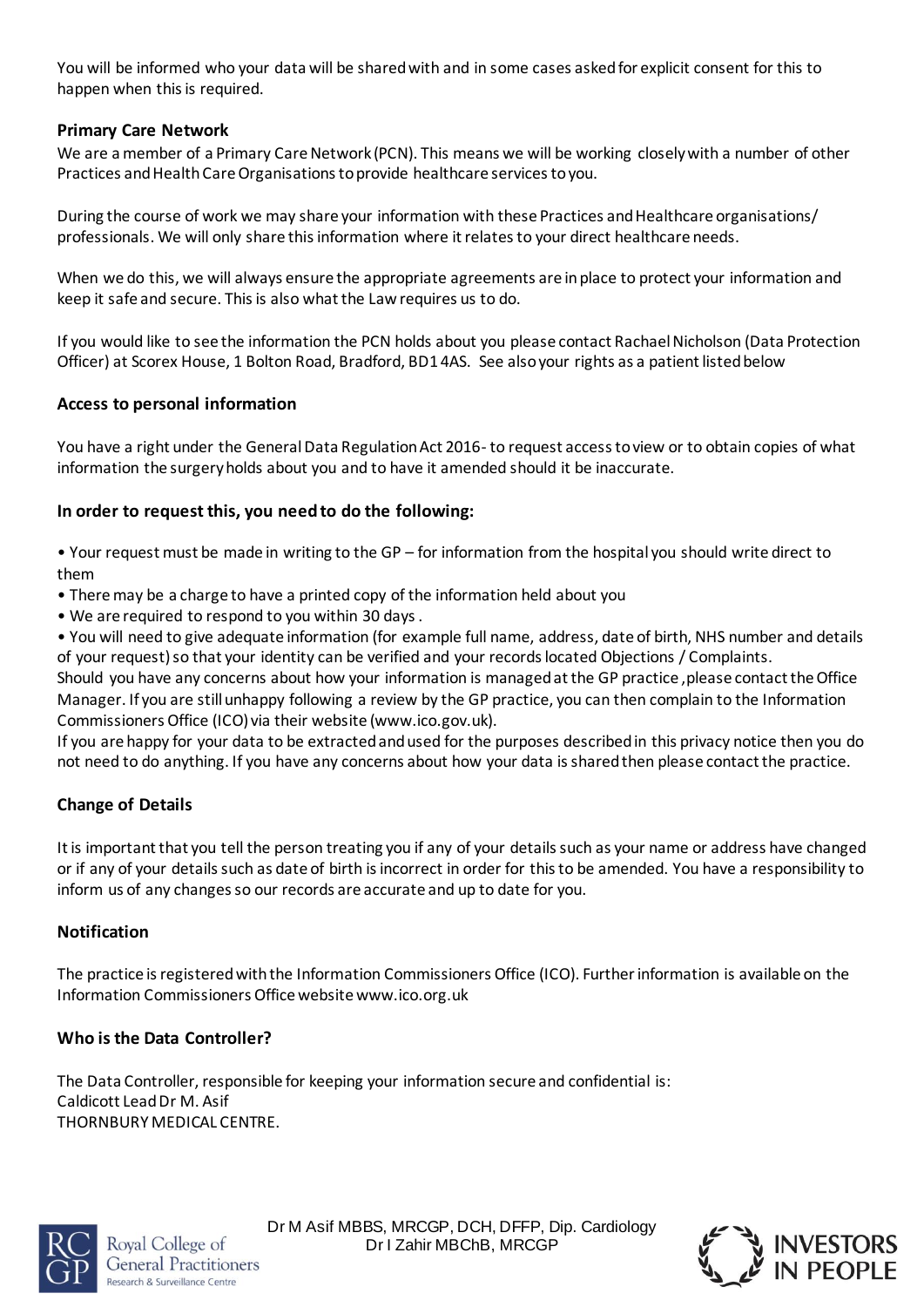You will be informed who your data will be shared with and in some cases asked for explicit consent for this to happen when this is required.

### **Primary Care Network**

We are a member of a Primary Care Network (PCN). This means we will be working closely with a number of other Practices and Health Care Organisations to provide healthcare services to you.

During the course of work we may share your information with these Practices and Healthcare organisations/ professionals. We will only share this information where it relates to your direct healthcare needs.

When we do this, we will always ensure the appropriate agreements are in place to protect your information and keep it safe and secure. This is also what the Law requires us to do.

If you would like to see the information the PCN holds about you please contact Rachael Nicholson (Data Protection Officer) at Scorex House, 1 Bolton Road, Bradford, BD1 4AS. See also your rights as a patient listed below

#### **Access to personal information**

You have a right under the General Data Regulation Act 2016- to request access to view or to obtain copies of what information the surgery holds about you and to have it amended should it be inaccurate.

#### **In order to request this, you need to do the following:**

• Your request must be made in writing to the GP – for information from the hospital you should write direct to them

- There may be a charge to have a printed copy of the information held about you
- We are required to respond to you within 30 days .

• You will need to give adequate information (for example full name, address, date of birth, NHS number and details of your request) so that your identity can be verified and your records located Objections / Complaints.

Should you have any concerns about how your information is managed at the GP practice ,please contact the Office Manager. If you are still unhappy following a review by the GP practice, you can then complain to the Information Commissioners Office (ICO) via their website (www.ico.gov.uk).

If you are happy for your data to be extracted and used for the purposes described in this privacy notice then you do not need to do anything. If you have any concerns about how your data is shared then please contact the practice.

### **Change of Details**

It is important that you tell the person treating you if any of your details such as your name or address have changed or if any of your details such as date of birth is incorrect in order for this to be amended. You have a responsibility to inform us of any changes so our records are accurate and up to date for you.

#### **Notification**

The practice is registered with the Information Commissioners Office (ICO). Further information is available on the Information Commissioners Office website www.ico.org.uk

### **Who is the Data Controller?**

The Data Controller, responsible for keeping your information secure and confidential is: Caldicott Lead Dr M. Asif THORNBURY MEDICAL CENTRE.



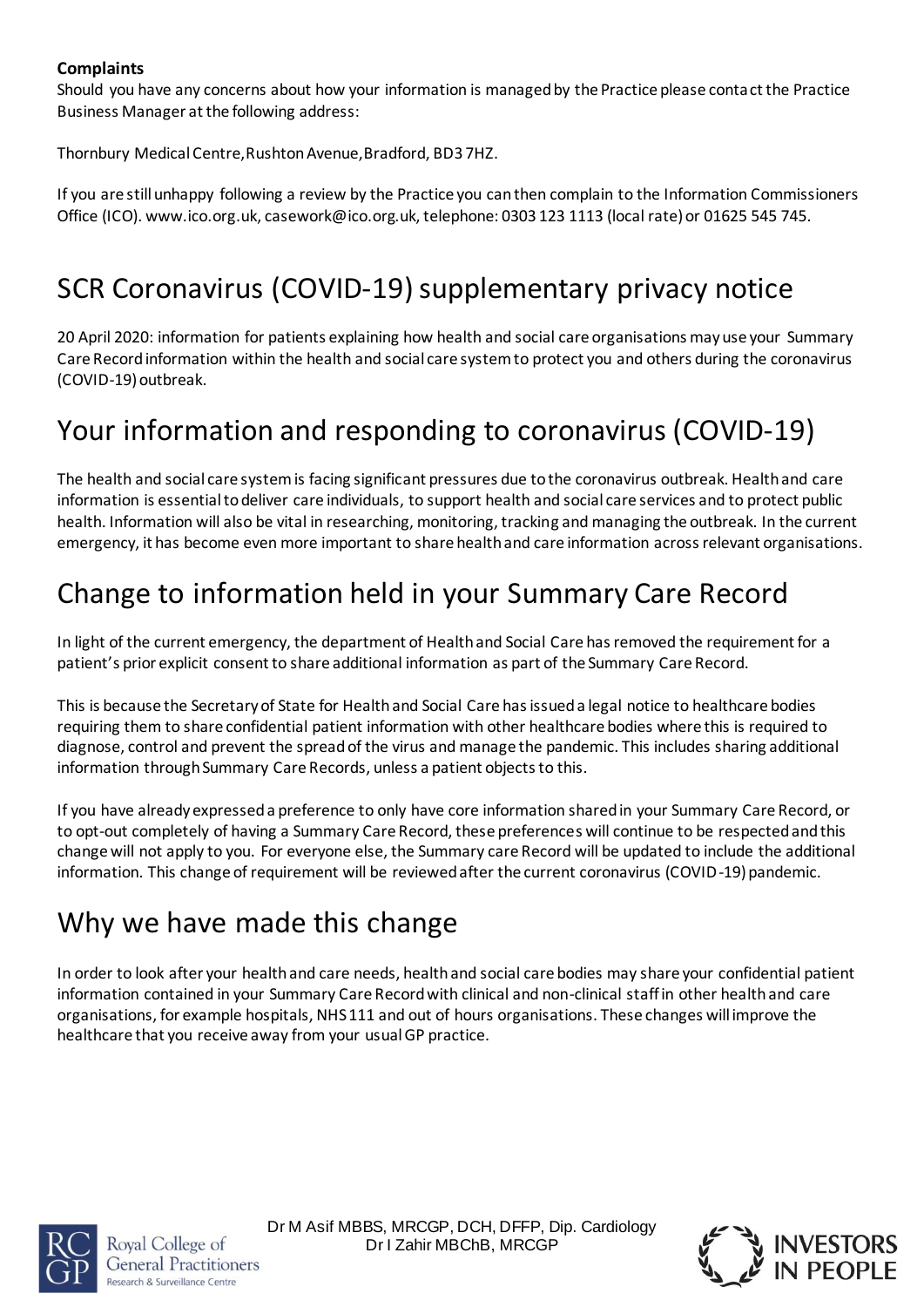## **Complaints**

Should you have any concerns about how your information is managed by the Practice please contact the Practice Business Manager at the following address:

Thornbury Medical Centre,Rushton Avenue,Bradford, BD3 7HZ.

If you are still unhappy following a review by the Practice you can then complain to the Information Commissioners Office (ICO). www.ico.org.uk, casework@ico.org.uk, telephone: 0303 123 1113 (local rate) or 01625 545 745.

# SCR Coronavirus (COVID-19) supplementary privacy notice

20 April 2020: information for patients explaining how health and social care organisations may use your Summary Care Record information within the health and social care system to protect you and others during the coronavirus (COVID-19) outbreak.

# Your information and responding to coronavirus (COVID-19)

The health and social care system is facing significant pressures due to the coronavirus outbreak. Health and care information is essential to deliver care individuals, to support health and social care services and to protect public health. Information will also be vital in researching, monitoring, tracking and managing the outbreak. In the current emergency, it has become even more important to share health and care information across relevant organisations.

# Change to information held in your Summary Care Record

In light of the current emergency, the department of Health and Social Care has removed the requirement for a patient's prior explicit consent to share additional information as part of the Summary Care Record.

This is because the Secretary of State for Health and Social Care has issued a legal notice to healthcare bodies requiring them to share confidential patient information with other healthcare bodies where this is required to diagnose, control and prevent the spread of the virus and manage the pandemic. This includes sharing additional information through Summary Care Records, unless a patient objects to this.

If you have already expressed a preference to only have core information shared in your Summary Care Record, or to opt-out completely of having a Summary Care Record, these preferences will continue to be respected and this change will not apply to you. For everyone else, the Summary care Record will be updated to include the additional information. This change of requirement will be reviewed after the current coronavirus (COVID-19) pandemic.

# Why we have made this change

In order to look after your health and care needs, health and social care bodies may share your confidential patient information contained in your Summary Care Record with clinical and non-clinical staff in other health and care organisations, for example hospitals, NHS 111 and out of hours organisations. These changes will improve the healthcare that you receive away from your usual GP practice.



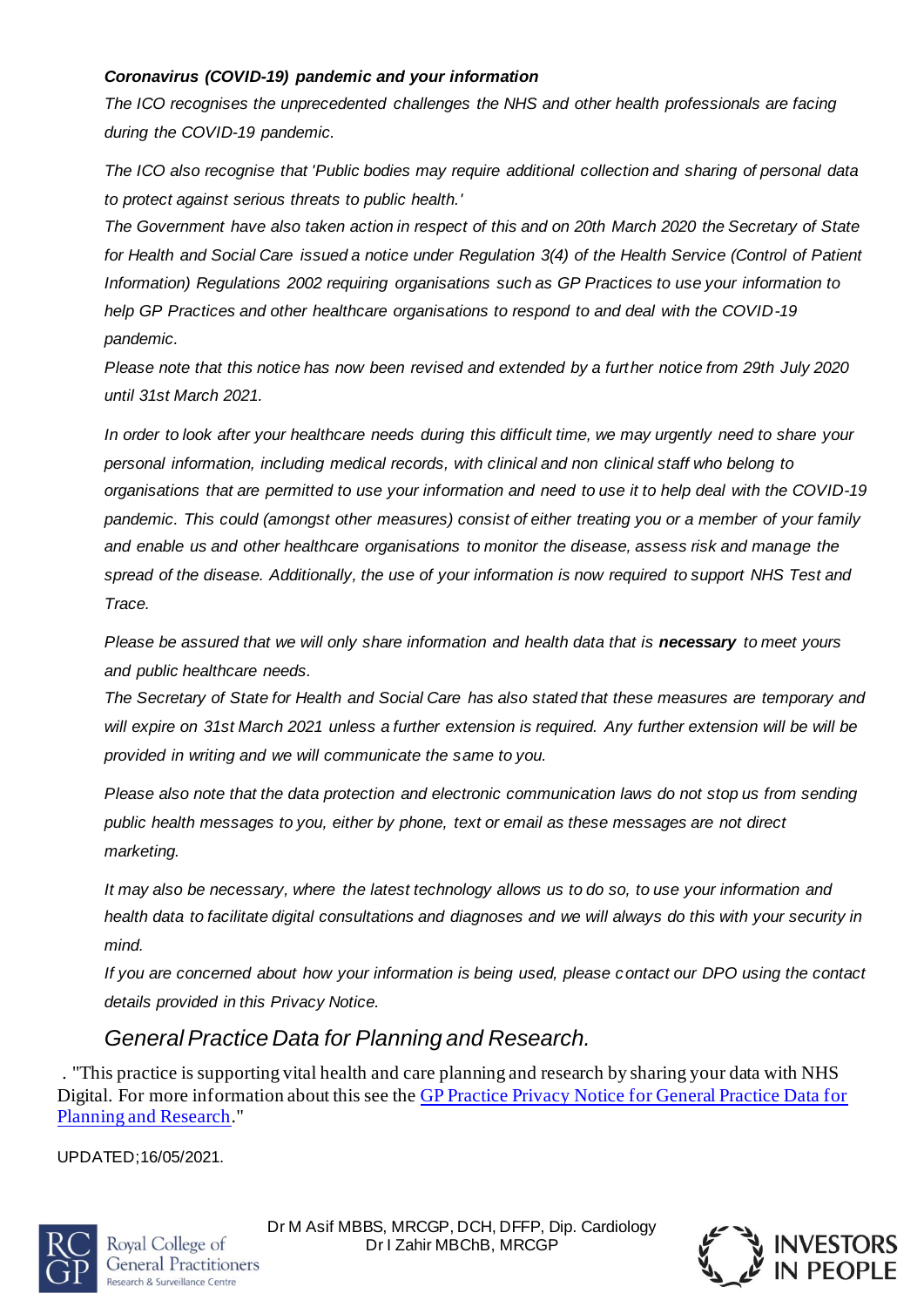### *Coronavirus (COVID-19) pandemic and your information*

*The ICO recognises the unprecedented challenges the NHS and other health professionals are facing during the COVID-19 pandemic.*

*The ICO also recognise that 'Public bodies may require additional collection and sharing of personal data to protect against serious threats to public health.'*

*The Government have also taken action in respect of this and on 20th March 2020 the Secretary of State for Health and Social Care issued a notice under Regulation 3(4) of the Health Service (Control of Patient Information) Regulations 2002 requiring organisations such as GP Practices to use your information to help GP Practices and other healthcare organisations to respond to and deal with the COVID-19 pandemic.*

*Please note that this notice has now been revised and extended by a further notice from 29th July 2020 until 31st March 2021.*

*In order to look after your healthcare needs during this difficult time, we may urgently need to share your personal information, including medical records, with clinical and non clinical staff who belong to organisations that are permitted to use your information and need to use it to help deal with the COVID-19 pandemic. This could (amongst other measures) consist of either treating you or a member of your family and enable us and other healthcare organisations to monitor the disease, assess risk and manage the spread of the disease. Additionally, the use of your information is now required to support NHS Test and Trace.*

*Please be assured that we will only share information and health data that is necessary to meet yours and public healthcare needs.*

*The Secretary of State for Health and Social Care has also stated that these measures are temporary and will expire on 31st March 2021 unless a further extension is required. Any further extension will be will be provided in writing and we will communicate the same to you.*

*Please also note that the data protection and electronic communication laws do not stop us from sending public health messages to you, either by phone, text or email as these messages are not direct marketing.*

*It may also be necessary, where the latest technology allows us to do so, to use your information and health data to facilitate digital consultations and diagnoses and we will always do this with your security in mind.*

*If you are concerned about how your information is being used, please contact our DPO using the contact details provided in this Privacy Notice.*

# *General Practice Data for Planning and Research.*

. "This practice is supporting vital health and care planning and research by sharing your data with NHS Digital. For more information about this see the GP [Practice Privacy Notice for General Practice Data for](https://digital.nhs.uk/data-and-information/data-collections-and-data-sets/data-collections/general-practice-data-for-planning-and-research/gp-privacy-notice)  [Planning and Research](https://digital.nhs.uk/data-and-information/data-collections-and-data-sets/data-collections/general-practice-data-for-planning-and-research/gp-privacy-notice)."

UPDATED;16/05/2021.